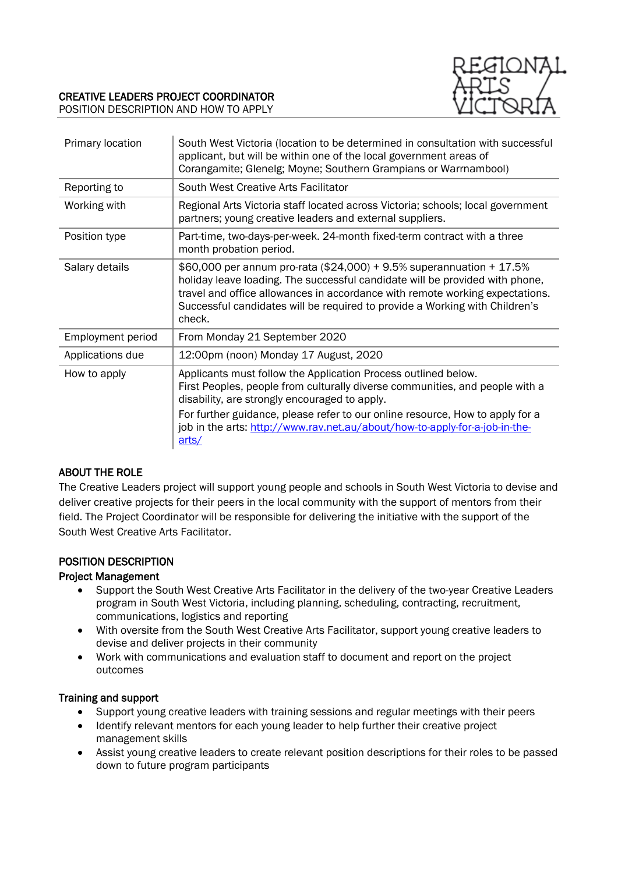

### CREATIVE LEADERS PROJECT COORDINATOR POSITION DESCRIPTION AND HOW TO APPLY

| Primary location         | South West Victoria (location to be determined in consultation with successful<br>applicant, but will be within one of the local government areas of<br>Corangamite; Glenelg; Moyne; Southern Grampians or Warrnambool)                                                                                                                                                  |
|--------------------------|--------------------------------------------------------------------------------------------------------------------------------------------------------------------------------------------------------------------------------------------------------------------------------------------------------------------------------------------------------------------------|
| Reporting to             | South West Creative Arts Facilitator                                                                                                                                                                                                                                                                                                                                     |
| Working with             | Regional Arts Victoria staff located across Victoria; schools; local government<br>partners; young creative leaders and external suppliers.                                                                                                                                                                                                                              |
| Position type            | Part-time, two-days-per-week. 24-month fixed-term contract with a three<br>month probation period.                                                                                                                                                                                                                                                                       |
| Salary details           | \$60,000 per annum pro-rata (\$24,000) + 9.5% superannuation + 17.5%<br>holiday leave loading. The successful candidate will be provided with phone,<br>travel and office allowances in accordance with remote working expectations.<br>Successful candidates will be required to provide a Working with Children's<br>check.                                            |
| <b>Employment period</b> | From Monday 21 September 2020                                                                                                                                                                                                                                                                                                                                            |
| Applications due         | 12:00pm (noon) Monday 17 August, 2020                                                                                                                                                                                                                                                                                                                                    |
| How to apply             | Applicants must follow the Application Process outlined below.<br>First Peoples, people from culturally diverse communities, and people with a<br>disability, are strongly encouraged to apply.<br>For further guidance, please refer to our online resource, How to apply for a<br>job in the arts: http://www.rav.net.au/about/how-to-apply-for-a-job-in-the-<br>arts/ |

#### ABOUT THE ROLE

The Creative Leaders project will support young people and schools in South West Victoria to devise and deliver creative projects for their peers in the local community with the support of mentors from their field. The Project Coordinator will be responsible for delivering the initiative with the support of the South West Creative Arts Facilitator.

#### POSITION DESCRIPTION

#### Project Management

- Support the South West Creative Arts Facilitator in the delivery of the two-year Creative Leaders program in South West Victoria, including planning, scheduling, contracting, recruitment, communications, logistics and reporting
- With oversite from the South West Creative Arts Facilitator, support young creative leaders to devise and deliver projects in their community
- Work with communications and evaluation staff to document and report on the project outcomes

#### Training and support

- Support young creative leaders with training sessions and regular meetings with their peers
- Identify relevant mentors for each young leader to help further their creative project management skills
- Assist young creative leaders to create relevant position descriptions for their roles to be passed down to future program participants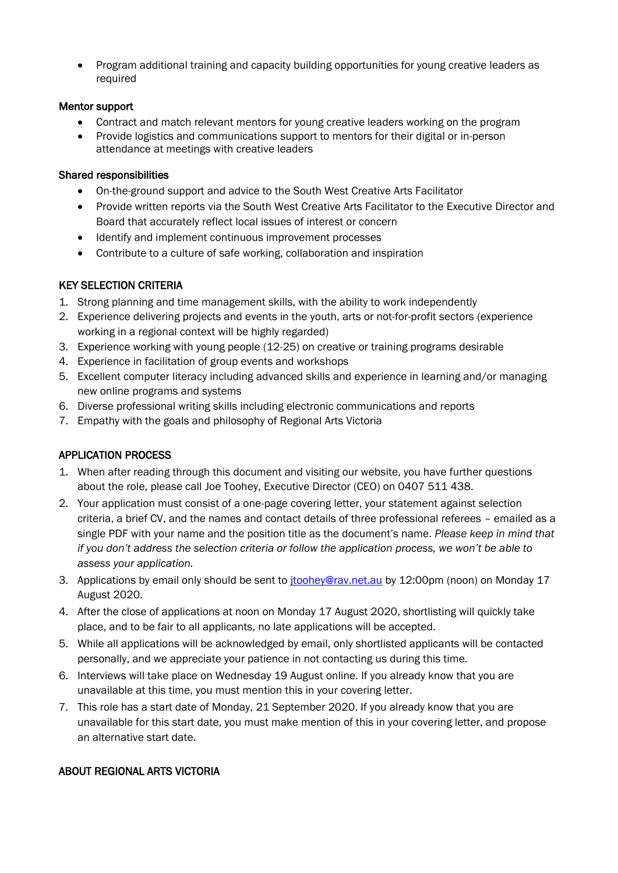Program additional training and capacity building opportunities for young creative leaders as required

#### Mentor support

- Contract and match relevant mentors for young creative leaders working on the program
- Provide logistics and communications support to mentors for their digital or in-person attendance at meetings with creative leaders

### Shared responsibilities

- On-the-ground support and advice to the South West Creative Arts Facilitator
- Provide written reports via the South West Creative Arts Facilitator to the Executive Director and Board that accurately reflect local issues of interest or concern
- Identify and implement continuous improvement processes
- Contribute to a culture of safe working, collaboration and inspiration

# KEY SELECTION CRITERIA

- 1. Strong planning and time management skills, with the ability to work independently
- 2. Experience delivering projects and events in the youth, arts or not-for-profit sectors (experience working in a regional context will be highly regarded)
- 3. Experience working with young people (12-25) on creative or training programs desirable
- 4. Experience in facilitation of group events and workshops
- 5. Excellent computer literacy including advanced skills and experience in learning and/or managing new online programs and systems
- 6. Diverse professional writing skills including electronic communications and reports
- 7. Empathy with the goals and philosophy of Regional Arts Victoria

# APPLICATION PROCESS

- 1. When after reading through this document and visiting our website, you have further questions about the role, please call Joe Toohey, Executive Director (CEO) on 0407 511 438.
- 2. Your application must consist of a one-page covering letter, your statement against selection criteria, a brief CV, and the names and contact details of three professional referees – emailed as a single PDF with your name and the position title as the document's name. *Please keep in mind that if you don't address the selection criteria or follow the application process, we won't be able to assess your application.*
- 3. Applications by email only should be sent to *[jtoohey@rav.net.au](mailto:jtoohey@rav.net.au)* by 12:00pm (noon) on Monday 17 August 2020.
- 4. After the close of applications at noon on Monday 17 August 2020, shortlisting will quickly take place, and to be fair to all applicants, no late applications will be accepted.
- 5. While all applications will be acknowledged by email, only shortlisted applicants will be contacted personally, and we appreciate your patience in not contacting us during this time.
- 6. Interviews will take place on Wednesday 19 August online. If you already know that you are unavailable at this time, you must mention this in your covering letter.
- 7. This role has a start date of Monday, 21 September 2020. If you already know that you are unavailable for this start date, you must make mention of this in your covering letter, and propose an alternative start date.

# ABOUT REGIONAL ARTS VICTORIA